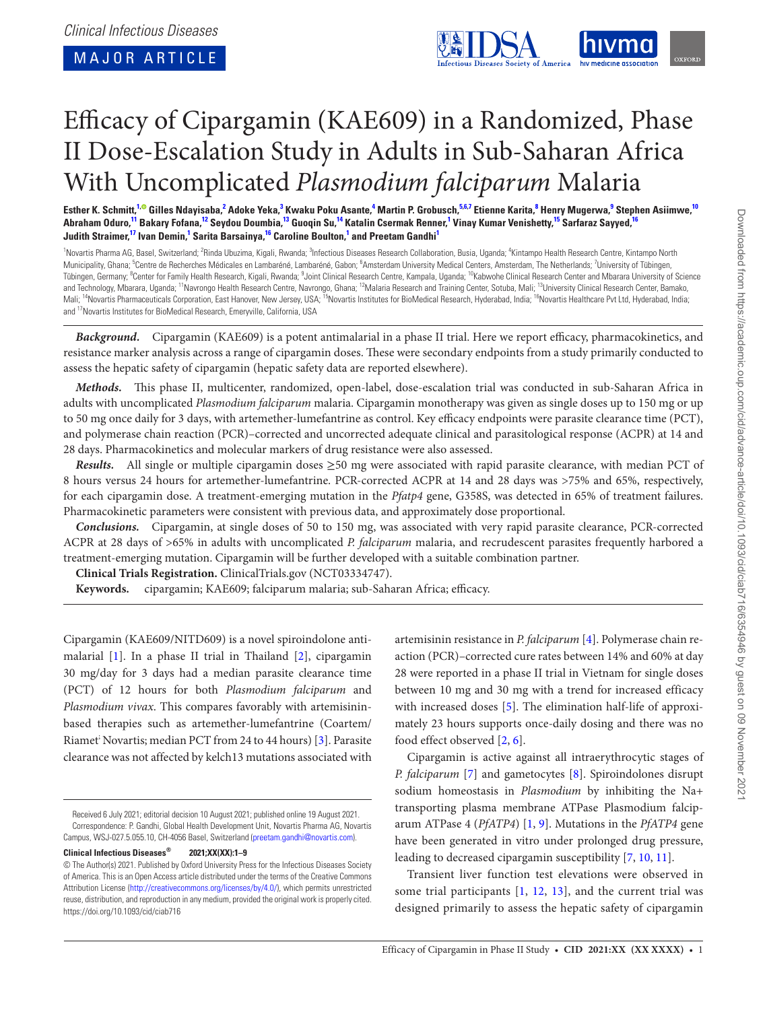<span id="page-0-15"></span><span id="page-0-12"></span><span id="page-0-9"></span><span id="page-0-6"></span><span id="page-0-3"></span><span id="page-0-2"></span>

# Efficacy of Cipargamin (KAE609) in a Randomized, Phase II Dose-Escalation Study in Adults in Sub-Saharan Africa With Uncomplicated *Plasmodium falciparum* Malaria

Esther K. Schmitt,<sup>[1](#page-0-0),0</sup> Gilles Ndayisaba,<sup>[2](#page-0-1)</sup> Adoke Yeka,<sup>[3](#page-0-2)</sup> Kwaku Poku Asante,<sup>[4](#page-0-3)</sup> Martin P. Grobusch,<sup>[5](#page-0-4),[6,](#page-0-5)[7](#page-0-6)</sup> Etienne Karita,<sup>[8](#page-0-7)</sup> Henry Mugerwa,<sup>[9](#page-0-8)</sup> Stephen Asiimwe,<sup>[10](#page-0-9)</sup> Abraham Oduro,<sup>[11](#page-0-10)</sup> Bakary Fofana,<sup>[12](#page-0-11)</sup> Seydou Doumbia,<sup>[13](#page-0-12)</sup> Guoqin Su,<sup>[1](#page-0-0)4</sup> Katalin Csermak Renner,<sup>1</sup> Vinay Kumar Venishetty,<sup>15</sup> Sarfaraz Sayyed,<sup>[16](#page-0-15)</sup> **Judith Straimer, [17](#page-0-16) Ivan Demin, [1](#page-0-0) Sarita Barsainya, [16](#page-0-15) Caroline Boulton, [1](#page-0-0) and Preetam Gandh[i1](#page-0-0)**

<span id="page-0-11"></span><span id="page-0-10"></span><span id="page-0-8"></span><span id="page-0-7"></span><span id="page-0-5"></span><span id="page-0-4"></span><span id="page-0-1"></span><span id="page-0-0"></span><sup>1</sup> Novartis Pharma AG, Basel, Switzerland; <sup>2</sup>Rinda Ubuzima, Kigali, Rwanda; <sup>3</sup>Infectious Diseases Research Collaboration, Busia, Uganda; <sup>4</sup>Kintampo Health Research Centre, Kintampo North Municipality, Ghana; <sup>5</sup>Centre de Recherches Médicales en Lambaréné, Lambaréné, Gabon; <sup>6</sup>Amsterdam University Medical Centers, Amsterdam, The Netherlands; <sup>7</sup>University of Tübingen, Tübingen, Germany; <sup>8</sup>Center for Family Health Research, Kigali, Rwanda; <sup>9</sup>Joint Clinical Research Centre, Kampala, Uganda; <sup>10</sup>Kabwohe Clinical Research Center and Mbarara University of Science and Technology, Mbarara, Uganda; <sup>11</sup>Navrongo Health Research Centre, Navrongo, Ghana; <sup>12</sup>Malaria Research and Training Center, Sotuba, Mali; <sup>13</sup>University Clinical Research Center, Bamako, Mali; <sup>14</sup>Novartis Pharmaceuticals Corporation, East Hanover, New Jersey, USA; <sup>15</sup>Novartis Institutes for BioMedical Research, Hyderabad, India; <sup>16</sup>Novartis Healthcare Pvt Ltd, Hyderabad, India; and 17Novartis Institutes for BioMedical Research, Emeryville, California, USA

<span id="page-0-16"></span><span id="page-0-14"></span><span id="page-0-13"></span>*Background.* Cipargamin (KAE609) is a potent antimalarial in a phase II trial. Here we report efficacy, pharmacokinetics, and resistance marker analysis across a range of cipargamin doses. These were secondary endpoints from a study primarily conducted to assess the hepatic safety of cipargamin (hepatic safety data are reported elsewhere).

*Methods.* This phase II, multicenter, randomized, open-label, dose-escalation trial was conducted in sub-Saharan Africa in adults with uncomplicated *Plasmodium falciparum* malaria. Cipargamin monotherapy was given as single doses up to 150 mg or up to 50 mg once daily for 3 days, with artemether-lumefantrine as control. Key efficacy endpoints were parasite clearance time (PCT), and polymerase chain reaction (PCR)–corrected and uncorrected adequate clinical and parasitological response (ACPR) at 14 and 28 days. Pharmacokinetics and molecular markers of drug resistance were also assessed.

*Results.* All single or multiple cipargamin doses ≥50 mg were associated with rapid parasite clearance, with median PCT of 8 hours versus 24 hours for artemether-lumefantrine. PCR-corrected ACPR at 14 and 28 days was >75% and 65%, respectively, for each cipargamin dose. A treatment-emerging mutation in the *Pfatp4* gene, G358S, was detected in 65% of treatment failures. Pharmacokinetic parameters were consistent with previous data, and approximately dose proportional.

*Conclusions.* Cipargamin, at single doses of 50 to 150 mg, was associated with very rapid parasite clearance, PCR-corrected ACPR at 28 days of >65% in adults with uncomplicated *P. falciparum* malaria, and recrudescent parasites frequently harbored a treatment-emerging mutation. Cipargamin will be further developed with a suitable combination partner.

**Clinical Trials Registration.** ClinicalTrials.gov (NCT03334747).

**Keywords.** cipargamin; KAE609; falciparum malaria; sub-Saharan Africa; efficacy.

Cipargamin (KAE609/NITD609) is a novel spiroindolone antimalarial [[1](#page-7-0)]. In a phase II trial in Thailand [[2\]](#page-7-1), cipargamin 30 mg/day for 3 days had a median parasite clearance time (PCT) of 12 hours for both *Plasmodium falciparum* and *Plasmodium vivax*. This compares favorably with artemisininbased therapies such as artemether-lumefantrine (Coartem/ Riamet<sup>'</sup> Novartis; median PCT from 24 to 44 hours) [[3](#page-7-2)]. Parasite clearance was not affected by kelch13 mutations associated with

**Clinical Infectious Diseases® 2021;XX(XX):1–9**

artemisinin resistance in *P. falciparum* [\[4\]](#page-7-3). Polymerase chain reaction (PCR)–corrected cure rates between 14% and 60% at day 28 were reported in a phase II trial in Vietnam for single doses between 10 mg and 30 mg with a trend for increased efficacy with increased doses [\[5\]](#page-7-4). The elimination half-life of approximately 23 hours supports once-daily dosing and there was no food effect observed [[2](#page-7-1), [6\]](#page-7-5).

Cipargamin is active against all intraerythrocytic stages of *P. falciparum* [\[7\]](#page-7-6) and gametocytes [\[8\]](#page-7-7). Spiroindolones disrupt sodium homeostasis in *Plasmodium* by inhibiting the Na+ transporting plasma membrane ATPase Plasmodium falciparum ATPase 4 (*PfATP4*) [\[1,](#page-7-0) [9](#page-8-0)]. Mutations in the *PfATP4* gene have been generated in vitro under prolonged drug pressure, leading to decreased cipargamin susceptibility [[7](#page-7-6), [10,](#page-8-1) [11](#page-8-2)].

Transient liver function test elevations were observed in some trial participants  $[1, 12, 13]$  $[1, 12, 13]$  $[1, 12, 13]$  $[1, 12, 13]$  $[1, 12, 13]$ , and the current trial was designed primarily to assess the hepatic safety of cipargamin

Received 6 July 2021; editorial decision 10 August 2021; published online 19 August 2021. Correspondence: P. Gandhi, Global Health Development Unit, Novartis Pharma AG, Novartis Campus, WSJ-027.5.055.10, CH-4056 Basel, Switzerland [\(preetam.gandhi@novartis.com\)](mailto:preetam.gandhi@novartis.com?subject=).

<sup>©</sup> The Author(s) 2021. Published by Oxford University Press for the Infectious Diseases Society of America. This is an Open Access article distributed under the terms of the Creative Commons Attribution License ([http://creativecommons.org/licenses/by/4.0/\)](http://creativecommons.org/licenses/by/4.0/), which permits unrestricted reuse, distribution, and reproduction in any medium, provided the original work is properly cited. <https://doi.org/10.1093/cid/ciab716>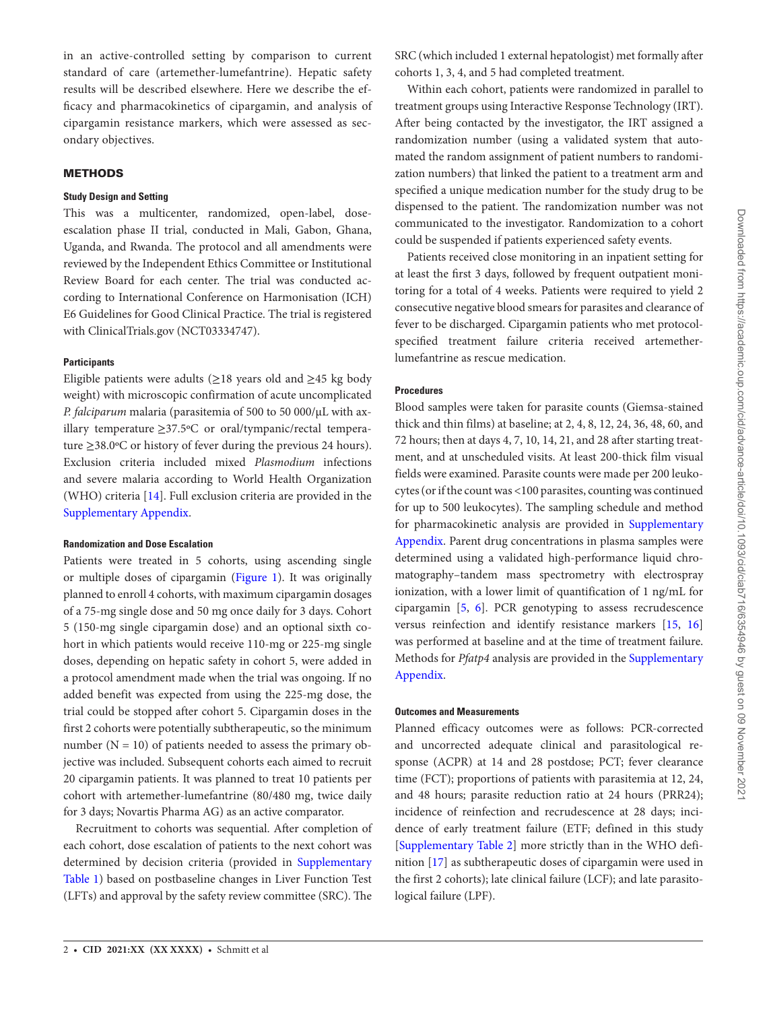in an active-controlled setting by comparison to current standard of care (artemether-lumefantrine). Hepatic safety results will be described elsewhere. Here we describe the efficacy and pharmacokinetics of cipargamin, and analysis of cipargamin resistance markers, which were assessed as secondary objectives.

## **METHODS**

#### **Study Design and Setting**

This was a multicenter, randomized, open-label, doseescalation phase II trial, conducted in Mali, Gabon, Ghana, Uganda, and Rwanda. The protocol and all amendments were reviewed by the Independent Ethics Committee or Institutional Review Board for each center. The trial was conducted according to International Conference on Harmonisation (ICH) E6 Guidelines for Good Clinical Practice. The trial is registered with ClinicalTrials.gov (NCT03334747).

## **Participants**

Eligible patients were adults ( $\geq$ 18 years old and  $\geq$ 45 kg body weight) with microscopic confirmation of acute uncomplicated *P. falciparum* malaria (parasitemia of 500 to 50 000/μL with axillary temperature ≥37.5ºC or oral/tympanic/rectal temperature ≥38.0ºC or history of fever during the previous 24 hours). Exclusion criteria included mixed *Plasmodium* infections and severe malaria according to World Health Organization (WHO) criteria [\[14](#page-8-5)]. Full exclusion criteria are provided in the [Supplementary Appendix](http://academic.oup.com/cid/article-lookup/doi/10.1093/cid/ciab716#supplementary-data).

## **Randomization and Dose Escalation**

Patients were treated in 5 cohorts, using ascending single or multiple doses of cipargamin [\(Figure 1](#page-2-0)). It was originally planned to enroll 4 cohorts, with maximum cipargamin dosages of a 75-mg single dose and 50 mg once daily for 3 days. Cohort 5 (150-mg single cipargamin dose) and an optional sixth cohort in which patients would receive 110-mg or 225-mg single doses, depending on hepatic safety in cohort 5, were added in a protocol amendment made when the trial was ongoing. If no added benefit was expected from using the 225-mg dose, the trial could be stopped after cohort 5. Cipargamin doses in the first 2 cohorts were potentially subtherapeutic, so the minimum number  $(N = 10)$  of patients needed to assess the primary objective was included. Subsequent cohorts each aimed to recruit 20 cipargamin patients. It was planned to treat 10 patients per cohort with artemether-lumefantrine (80/480 mg, twice daily for 3 days; Novartis Pharma AG) as an active comparator.

Recruitment to cohorts was sequential. After completion of each cohort, dose escalation of patients to the next cohort was determined by decision criteria (provided in [Supplementary](http://academic.oup.com/cid/article-lookup/doi/10.1093/cid/ciab716#supplementary-data) [Table 1\)](http://academic.oup.com/cid/article-lookup/doi/10.1093/cid/ciab716#supplementary-data) based on postbaseline changes in Liver Function Test (LFTs) and approval by the safety review committee (SRC). The

SRC (which included 1 external hepatologist) met formally after cohorts 1, 3, 4, and 5 had completed treatment.

Within each cohort, patients were randomized in parallel to treatment groups using Interactive Response Technology (IRT). After being contacted by the investigator, the IRT assigned a randomization number (using a validated system that automated the random assignment of patient numbers to randomization numbers) that linked the patient to a treatment arm and specified a unique medication number for the study drug to be dispensed to the patient. The randomization number was not communicated to the investigator. Randomization to a cohort could be suspended if patients experienced safety events.

Patients received close monitoring in an inpatient setting for at least the first 3 days, followed by frequent outpatient monitoring for a total of 4 weeks. Patients were required to yield 2 consecutive negative blood smears for parasites and clearance of fever to be discharged. Cipargamin patients who met protocolspecified treatment failure criteria received artemetherlumefantrine as rescue medication.

#### **Procedures**

Blood samples were taken for parasite counts (Giemsa-stained thick and thin films) at baseline; at 2, 4, 8, 12, 24, 36, 48, 60, and 72 hours; then at days 4, 7, 10, 14, 21, and 28 after starting treatment, and at unscheduled visits. At least 200-thick film visual fields were examined. Parasite counts were made per 200 leukocytes (or if the count was <100 parasites, counting was continued for up to 500 leukocytes). The sampling schedule and method for pharmacokinetic analysis are provided in [Supplementary](http://academic.oup.com/cid/article-lookup/doi/10.1093/cid/ciab716#supplementary-data)  [Appendix](http://academic.oup.com/cid/article-lookup/doi/10.1093/cid/ciab716#supplementary-data). Parent drug concentrations in plasma samples were determined using a validated high-performance liquid chromatography–tandem mass spectrometry with electrospray ionization, with a lower limit of quantification of 1 ng/mL for cipargamin [[5](#page-7-4), [6\]](#page-7-5). PCR genotyping to assess recrudescence versus reinfection and identify resistance markers [\[15](#page-8-6), [16\]](#page-8-7) was performed at baseline and at the time of treatment failure. Methods for *Pfatp4* analysis are provided in the [Supplementary](http://academic.oup.com/cid/article-lookup/doi/10.1093/cid/ciab716#supplementary-data)  [Appendix](http://academic.oup.com/cid/article-lookup/doi/10.1093/cid/ciab716#supplementary-data).

## **Outcomes and Measurements**

Planned efficacy outcomes were as follows: PCR-corrected and uncorrected adequate clinical and parasitological response (ACPR) at 14 and 28 postdose; PCT; fever clearance time (FCT); proportions of patients with parasitemia at 12, 24, and 48 hours; parasite reduction ratio at 24 hours (PRR24); incidence of reinfection and recrudescence at 28 days; incidence of early treatment failure (ETF; defined in this study [\[Supplementary Table 2](http://academic.oup.com/cid/article-lookup/doi/10.1093/cid/ciab716#supplementary-data)] more strictly than in the WHO definition [[17\]](#page-8-8) as subtherapeutic doses of cipargamin were used in the first 2 cohorts); late clinical failure (LCF); and late parasitological failure (LPF).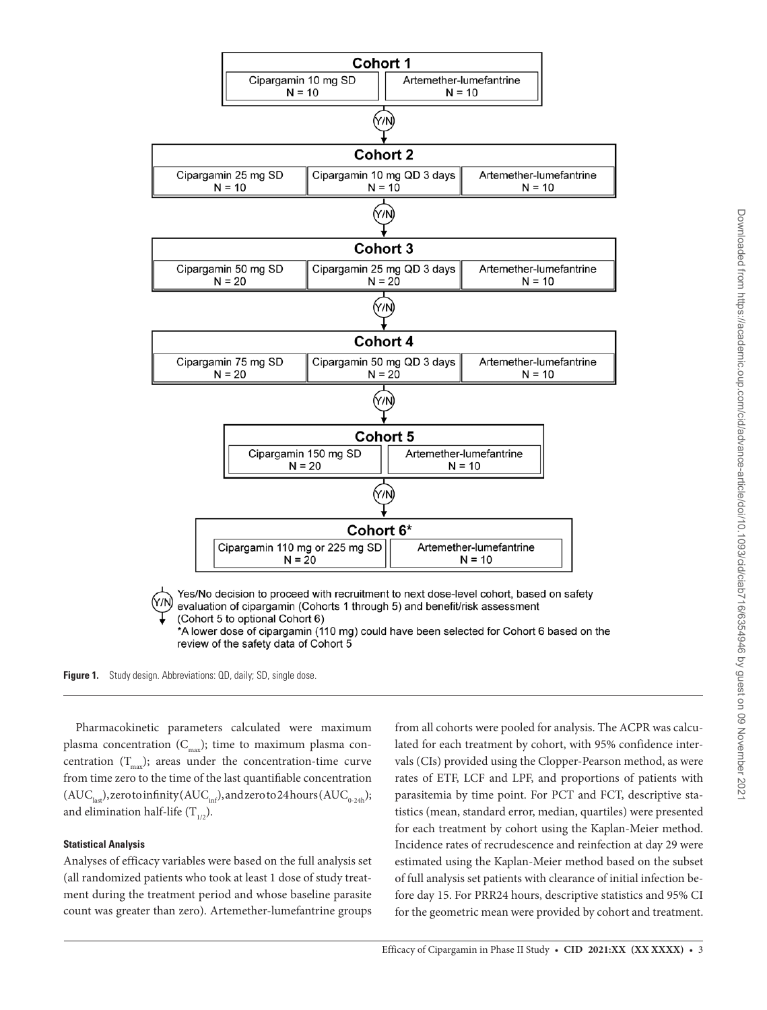





Pharmacokinetic parameters calculated were maximum plasma concentration  $(C_{\text{max}})$ ; time to maximum plasma concentration  $(T_{\text{max}})$ ; areas under the concentration-time curve from time zero to the time of the last quantifiable concentration  $(AUC<sub>last</sub>)$ , zero to infinity  $(AUC<sub>inf</sub>)$ , and zero to 24 hours  $(AUC<sub>0.24h</sub>)$ ; and elimination half-life  $(T_{1/2})$ .

## **Statistical Analysis**

Analyses of efficacy variables were based on the full analysis set (all randomized patients who took at least 1 dose of study treatment during the treatment period and whose baseline parasite count was greater than zero). Artemether-lumefantrine groups

<span id="page-2-0"></span>from all cohorts were pooled for analysis. The ACPR was calculated for each treatment by cohort, with 95% confidence intervals (CIs) provided using the Clopper-Pearson method, as were rates of ETF, LCF and LPF, and proportions of patients with parasitemia by time point. For PCT and FCT, descriptive statistics (mean, standard error, median, quartiles) were presented for each treatment by cohort using the Kaplan-Meier method. Incidence rates of recrudescence and reinfection at day 29 were estimated using the Kaplan-Meier method based on the subset of full analysis set patients with clearance of initial infection before day 15. For PRR24 hours, descriptive statistics and 95% CI for the geometric mean were provided by cohort and treatment.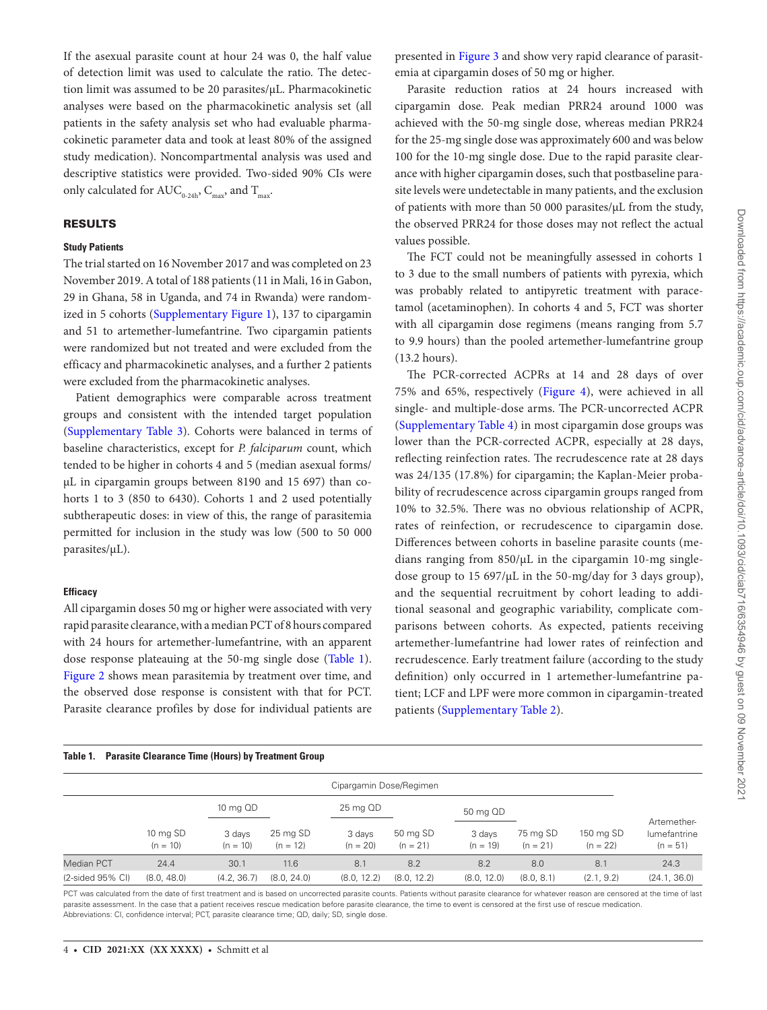If the asexual parasite count at hour 24 was 0, the half value of detection limit was used to calculate the ratio. The detection limit was assumed to be 20 parasites/µL. Pharmacokinetic analyses were based on the pharmacokinetic analysis set (all patients in the safety analysis set who had evaluable pharmacokinetic parameter data and took at least 80% of the assigned study medication). Noncompartmental analysis was used and descriptive statistics were provided. Two-sided 90% CIs were only calculated for  $AUC_{0.24b}$ ,  $C_{\text{max}}$ , and  $T_{\text{max}}$ .

### RESULTS

## **Study Patients**

The trial started on 16 November 2017 and was completed on 23 November 2019. A total of 188 patients (11 in Mali, 16 in Gabon, 29 in Ghana, 58 in Uganda, and 74 in Rwanda) were randomized in 5 cohorts ([Supplementary Figure 1\)](http://academic.oup.com/cid/article-lookup/doi/10.1093/cid/ciab716#supplementary-data), 137 to cipargamin and 51 to artemether-lumefantrine. Two cipargamin patients were randomized but not treated and were excluded from the efficacy and pharmacokinetic analyses, and a further 2 patients were excluded from the pharmacokinetic analyses.

Patient demographics were comparable across treatment groups and consistent with the intended target population [\(Supplementary Table 3\)](http://academic.oup.com/cid/article-lookup/doi/10.1093/cid/ciab716#supplementary-data). Cohorts were balanced in terms of baseline characteristics, except for *P. falciparum* count, which tended to be higher in cohorts 4 and 5 (median asexual forms/ µL in cipargamin groups between 8190 and 15 697) than cohorts 1 to 3 (850 to 6430). Cohorts 1 and 2 used potentially subtherapeutic doses: in view of this, the range of parasitemia permitted for inclusion in the study was low (500 to 50 000 parasites/µL).

#### **Efficacy**

All cipargamin doses 50 mg or higher were associated with very rapid parasite clearance, with a median PCT of 8 hours compared with 24 hours for artemether-lumefantrine, with an apparent dose response plateauing at the 50-mg single dose [\(Table 1\)](#page-3-0). [Figure 2](#page-4-0) shows mean parasitemia by treatment over time, and the observed dose response is consistent with that for PCT. Parasite clearance profiles by dose for individual patients are

#### <span id="page-3-0"></span>**Table 1. Parasite Clearance Time (Hours) by Treatment Group**

presented in [Figure 3](#page-5-0) and show very rapid clearance of parasitemia at cipargamin doses of 50 mg or higher.

Parasite reduction ratios at 24 hours increased with cipargamin dose. Peak median PRR24 around 1000 was achieved with the 50-mg single dose, whereas median PRR24 for the 25-mg single dose was approximately 600 and was below 100 for the 10-mg single dose. Due to the rapid parasite clearance with higher cipargamin doses, such that postbaseline parasite levels were undetectable in many patients, and the exclusion of patients with more than 50 000 parasites/µL from the study, the observed PRR24 for those doses may not reflect the actual values possible.

The FCT could not be meaningfully assessed in cohorts 1 to 3 due to the small numbers of patients with pyrexia, which was probably related to antipyretic treatment with paracetamol (acetaminophen). In cohorts 4 and 5, FCT was shorter with all cipargamin dose regimens (means ranging from 5.7 to 9.9 hours) than the pooled artemether-lumefantrine group (13.2 hours).

The PCR-corrected ACPRs at 14 and 28 days of over 75% and 65%, respectively ([Figure 4](#page-6-0)), were achieved in all single- and multiple-dose arms. The PCR-uncorrected ACPR [\(Supplementary Table 4](http://academic.oup.com/cid/article-lookup/doi/10.1093/cid/ciab716#supplementary-data)) in most cipargamin dose groups was lower than the PCR-corrected ACPR, especially at 28 days, reflecting reinfection rates. The recrudescence rate at 28 days was 24/135 (17.8%) for cipargamin; the Kaplan-Meier probability of recrudescence across cipargamin groups ranged from 10% to 32.5%. There was no obvious relationship of ACPR, rates of reinfection, or recrudescence to cipargamin dose. Differences between cohorts in baseline parasite counts (medians ranging from  $850/\mu$ L in the cipargamin 10-mg singledose group to 15 697/µL in the 50-mg/day for 3 days group), and the sequential recruitment by cohort leading to additional seasonal and geographic variability, complicate comparisons between cohorts. As expected, patients receiving artemether-lumefantrine had lower rates of reinfection and recrudescence. Early treatment failure (according to the study definition) only occurred in 1 artemether-lumefantrine patient; LCF and LPF were more common in cipargamin-treated patients [\(Supplementary Table 2](http://academic.oup.com/cid/article-lookup/doi/10.1093/cid/ciab716#supplementary-data)).

|                     | Cipargamin Dose/Regimen |                      |                        |                      |                        |                      |                        |                         |                            |
|---------------------|-------------------------|----------------------|------------------------|----------------------|------------------------|----------------------|------------------------|-------------------------|----------------------------|
|                     |                         | 10 mg QD             |                        | 25 mg QD             |                        | 50 mg QD             |                        |                         | Artemether-                |
|                     | 10 mg SD<br>$(n = 10)$  | 3 days<br>$(n = 10)$ | 25 mg SD<br>$(n = 12)$ | 3 days<br>$(n = 20)$ | 50 mg SD<br>$(n = 21)$ | 3 days<br>$(n = 19)$ | 75 mg SD<br>$(n = 21)$ | 150 mg SD<br>$(n = 22)$ | lumefantrine<br>$(n = 51)$ |
| <b>Median PCT</b>   | 24.4                    | 30.1                 | 11.6                   | 8.1                  | 8.2                    | 8.2                  | 8.0                    | 8.1                     | 24.3                       |
| $(2-sided 95\% CI)$ | (8.0, 48.0)             | (4.2, 36.7)          | (8.0, 24.0)            | (8.0, 12.2)          | (8.0, 12.2)            | (8.0, 12.0)          | (8.0, 8.1)             | (2.1, 9.2)              | (24.1, 36.0)               |

PCT was calculated from the date of first treatment and is based on uncorrected parasite counts. Patients without parasite clearance for whatever reason are censored at the time of last parasite assessment. In the case that a patient receives rescue medication before parasite clearance, the time to event is censored at the first use of rescue medication. Abbreviations: CI, confidence interval; PCT, parasite clearance time; QD, daily; SD, single dose.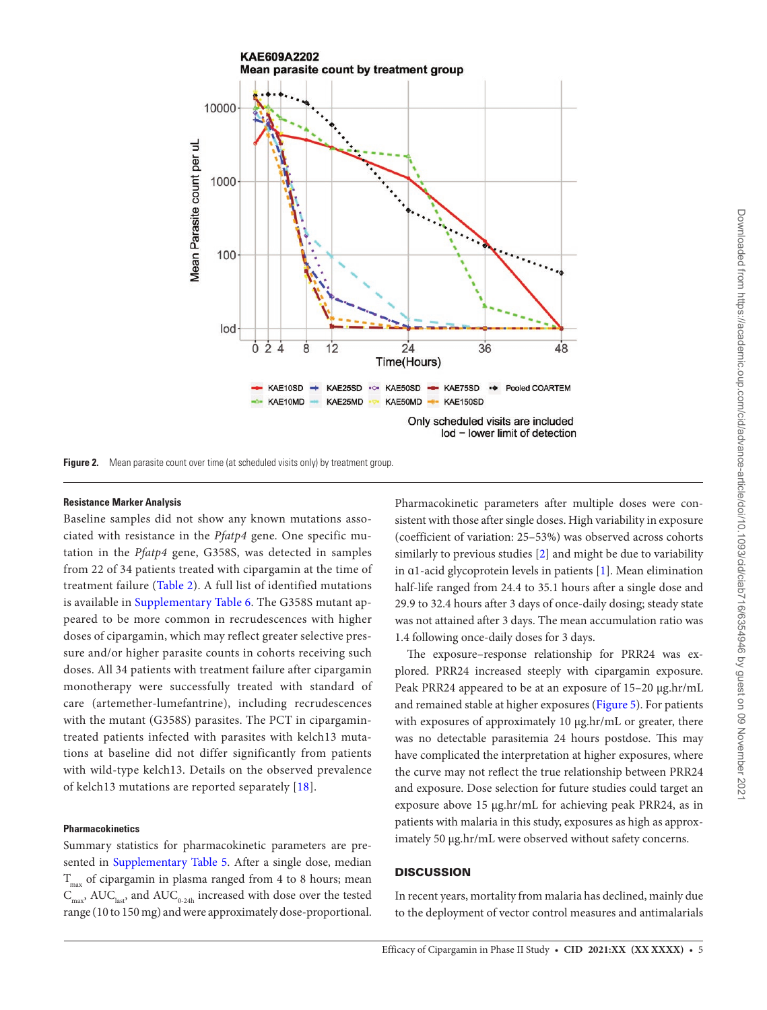

**Figure 2.** Mean parasite count over time (at scheduled visits only) by treatment group.

## **Resistance Marker Analysis**

Baseline samples did not show any known mutations associated with resistance in the *Pfatp4* gene. One specific mutation in the *Pfatp4* gene, G358S, was detected in samples from 22 of 34 patients treated with cipargamin at the time of treatment failure [\(Table 2\)](#page-6-1). A full list of identified mutations is available in [Supplementary Table 6](http://academic.oup.com/cid/article-lookup/doi/10.1093/cid/ciab716#supplementary-data). The G358S mutant appeared to be more common in recrudescences with higher doses of cipargamin, which may reflect greater selective pressure and/or higher parasite counts in cohorts receiving such doses. All 34 patients with treatment failure after cipargamin monotherapy were successfully treated with standard of care (artemether-lumefantrine), including recrudescences with the mutant (G358S) parasites. The PCT in cipargamintreated patients infected with parasites with kelch13 mutations at baseline did not differ significantly from patients with wild-type kelch13. Details on the observed prevalence of kelch13 mutations are reported separately [\[18\]](#page-8-9).

#### **Pharmacokinetics**

Summary statistics for pharmacokinetic parameters are pre-sented in [Supplementary Table 5](http://academic.oup.com/cid/article-lookup/doi/10.1093/cid/ciab716#supplementary-data). After a single dose, median  $T_{\text{max}}$  of cipargamin in plasma ranged from 4 to 8 hours; mean  $\text{C}_{\text{max}}$   $\text{AUC}_{\text{last}}$  and  $\text{AUC}_{\text{0-24h}}$  increased with dose over the tested range (10 to 150 mg) and were approximately dose-proportional. <span id="page-4-0"></span>Pharmacokinetic parameters after multiple doses were consistent with those after single doses. High variability in exposure (coefficient of variation: 25–53%) was observed across cohorts similarly to previous studies [[2\]](#page-7-1) and might be due to variability in ɑ1-acid glycoprotein levels in patients [[1\]](#page-7-0). Mean elimination half-life ranged from 24.4 to 35.1 hours after a single dose and 29.9 to 32.4 hours after 3 days of once-daily dosing; steady state was not attained after 3 days. The mean accumulation ratio was 1.4 following once-daily doses for 3 days.

The exposure–response relationship for PRR24 was explored. PRR24 increased steeply with cipargamin exposure. Peak PRR24 appeared to be at an exposure of 15–20 μg.hr/mL and remained stable at higher exposures ([Figure 5\)](#page-7-8). For patients with exposures of approximately 10 μg.hr/mL or greater, there was no detectable parasitemia 24 hours postdose. This may have complicated the interpretation at higher exposures, where the curve may not reflect the true relationship between PRR24 and exposure. Dose selection for future studies could target an exposure above 15 μg.hr/mL for achieving peak PRR24, as in patients with malaria in this study, exposures as high as approximately 50 μg.hr/mL were observed without safety concerns.

## **DISCUSSION**

In recent years, mortality from malaria has declined, mainly due to the deployment of vector control measures and antimalarials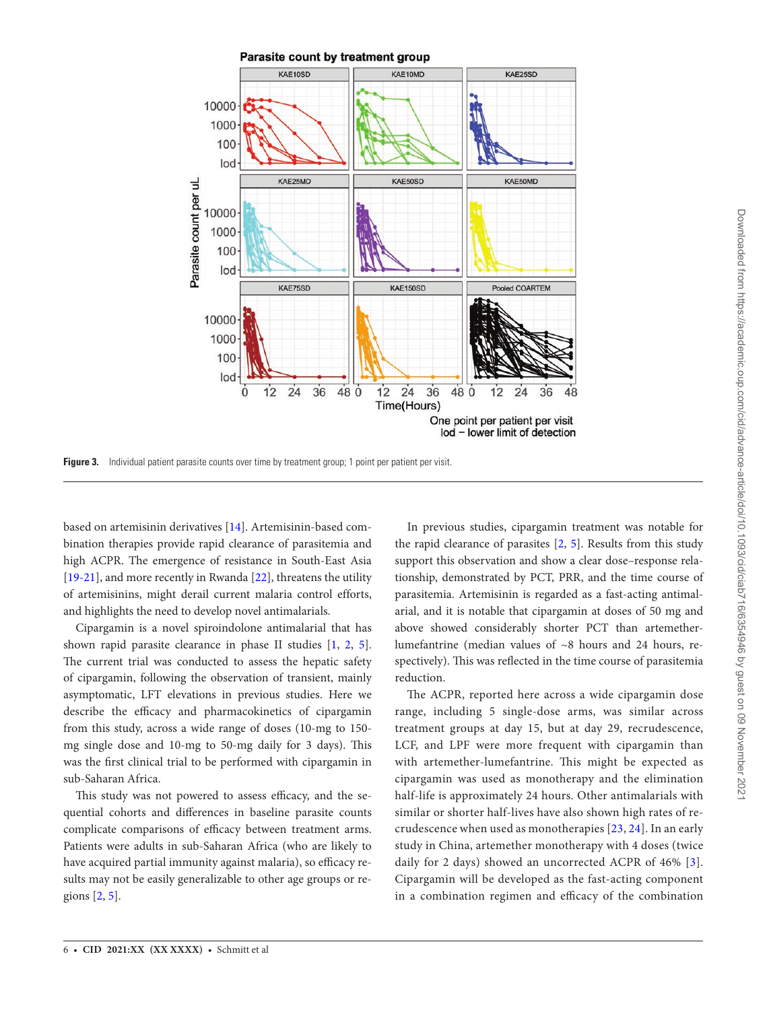

**Figure 3.** Individual patient parasite counts over time by treatment group; 1 point per patient per visit.

based on artemisinin derivatives [[14\]](#page-8-5). Artemisinin-based combination therapies provide rapid clearance of parasitemia and high ACPR. The emergence of resistance in South-East Asia [\[19](#page-8-10)-[21\]](#page-8-11), and more recently in Rwanda [[22\]](#page-8-12), threatens the utility of artemisinins, might derail current malaria control efforts, and highlights the need to develop novel antimalarials.

Cipargamin is a novel spiroindolone antimalarial that has shown rapid parasite clearance in phase II studies [[1](#page-7-0), [2,](#page-7-1) [5\]](#page-7-4). The current trial was conducted to assess the hepatic safety of cipargamin, following the observation of transient, mainly asymptomatic, LFT elevations in previous studies. Here we describe the efficacy and pharmacokinetics of cipargamin from this study, across a wide range of doses (10-mg to 150 mg single dose and 10-mg to 50-mg daily for 3 days). This was the first clinical trial to be performed with cipargamin in sub-Saharan Africa.

This study was not powered to assess efficacy, and the sequential cohorts and differences in baseline parasite counts complicate comparisons of efficacy between treatment arms. Patients were adults in sub-Saharan Africa (who are likely to have acquired partial immunity against malaria), so efficacy results may not be easily generalizable to other age groups or regions [[2](#page-7-1), [5](#page-7-4)].

<span id="page-5-0"></span>In previous studies, cipargamin treatment was notable for the rapid clearance of parasites [\[2,](#page-7-1) [5\]](#page-7-4). Results from this study support this observation and show a clear dose–response relationship, demonstrated by PCT, PRR, and the time course of parasitemia. Artemisinin is regarded as a fast-acting antimalarial, and it is notable that cipargamin at doses of 50 mg and above showed considerably shorter PCT than artemetherlumefantrine (median values of ~8 hours and 24 hours, respectively). This was reflected in the time course of parasitemia reduction.

The ACPR, reported here across a wide cipargamin dose range, including 5 single-dose arms, was similar across treatment groups at day 15, but at day 29, recrudescence, LCF, and LPF were more frequent with cipargamin than with artemether-lumefantrine. This might be expected as cipargamin was used as monotherapy and the elimination half-life is approximately 24 hours. Other antimalarials with similar or shorter half-lives have also shown high rates of recrudescence when used as monotherapies [[23](#page-8-13), [24\]](#page-8-14). In an early study in China, artemether monotherapy with 4 doses (twice daily for 2 days) showed an uncorrected ACPR of 46% [[3](#page-7-2)]. Cipargamin will be developed as the fast-acting component in a combination regimen and efficacy of the combination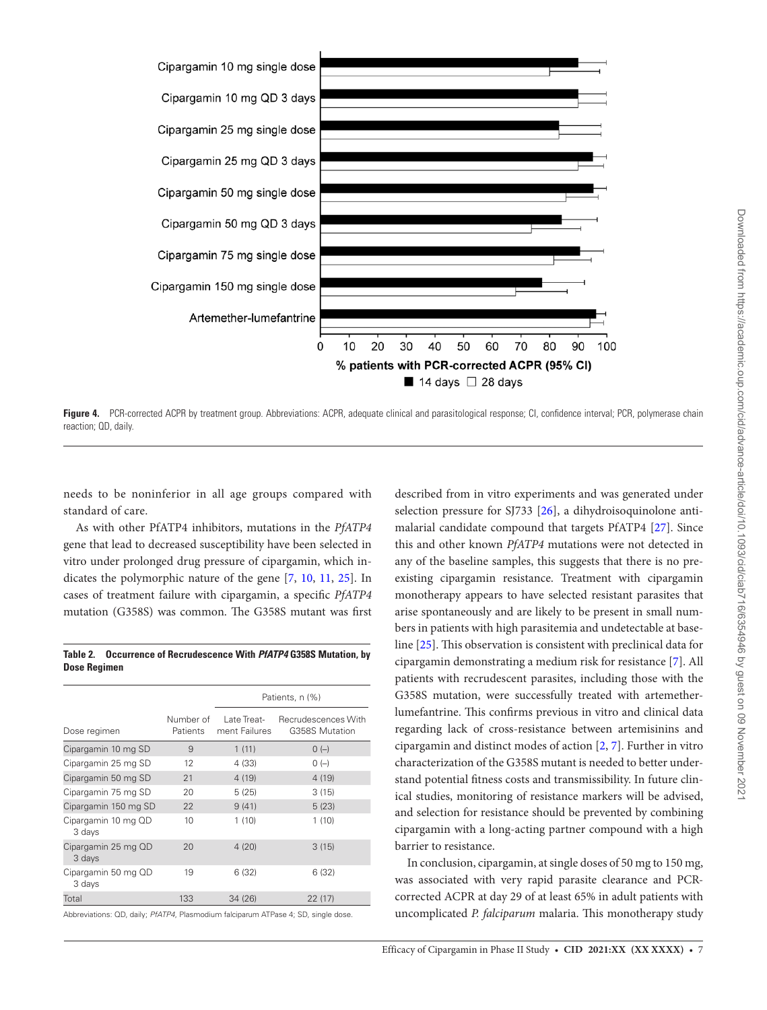

<span id="page-6-0"></span>Figure 4. PCR-corrected ACPR by treatment group. Abbreviations: ACPR, adequate clinical and parasitological response; CI, confidence interval; PCR, polymerase chain reaction; QD, daily.

needs to be noninferior in all age groups compared with standard of care.

As with other PfATP4 inhibitors, mutations in the *PfATP4* gene that lead to decreased susceptibility have been selected in vitro under prolonged drug pressure of cipargamin, which indicates the polymorphic nature of the gene [\[7,](#page-7-6) [10](#page-8-1), [11,](#page-8-2) [25](#page-8-15)]. In cases of treatment failure with cipargamin, a specific *PfATP4* mutation (G358S) was common. The G358S mutant was first

<span id="page-6-1"></span>**Table 2. Occurrence of Recrudescence With** *PfATP4* **G358S Mutation, by Dose Regimen**

|                               |                       | Patients, n (%)              |                                       |  |  |  |
|-------------------------------|-----------------------|------------------------------|---------------------------------------|--|--|--|
| Dose regimen                  | Number of<br>Patients | Late Treat-<br>ment Failures | Recrudescences With<br>G358S Mutation |  |  |  |
| Cipargamin 10 mg SD           | 9                     | 1(11)                        | $0(-)$                                |  |  |  |
| Cipargamin 25 mg SD           | 12                    | 4 (33)                       | $O(-)$                                |  |  |  |
| Cipargamin 50 mg SD           | 21                    | 4(19)                        | 4(19)                                 |  |  |  |
| Cipargamin 75 mg SD           | 20                    | 5(25)                        | 3(15)                                 |  |  |  |
| Cipargamin 150 mg SD          | 22                    | 9(41)                        | 5(23)                                 |  |  |  |
| Cipargamin 10 mg QD<br>3 days | 10                    | 1(10)                        | 1(10)                                 |  |  |  |
| Cipargamin 25 mg QD<br>3 days | 20                    | 4(20)                        | 3(15)                                 |  |  |  |
| Cipargamin 50 mg QD<br>3 days | 19                    | 6(32)                        | 6 (32)                                |  |  |  |
| Total                         | 133                   | 34(26)                       | 22(17)                                |  |  |  |

Abbreviations: QD, daily; *PfATP4*, Plasmodium falciparum ATPase 4; SD, single dose.

described from in vitro experiments and was generated under selection pressure for SJ733 [\[26](#page-8-16)], a dihydroisoquinolone antimalarial candidate compound that targets PfATP4 [\[27](#page-8-17)]. Since this and other known *PfATP4* mutations were not detected in any of the baseline samples, this suggests that there is no preexisting cipargamin resistance. Treatment with cipargamin monotherapy appears to have selected resistant parasites that arise spontaneously and are likely to be present in small numbers in patients with high parasitemia and undetectable at baseline [\[25\]](#page-8-15). This observation is consistent with preclinical data for cipargamin demonstrating a medium risk for resistance [\[7\]](#page-7-6). All patients with recrudescent parasites, including those with the G358S mutation, were successfully treated with artemetherlumefantrine. This confirms previous in vitro and clinical data regarding lack of cross-resistance between artemisinins and cipargamin and distinct modes of action [[2](#page-7-1), [7](#page-7-6)]. Further in vitro characterization of the G358S mutant is needed to better understand potential fitness costs and transmissibility. In future clinical studies, monitoring of resistance markers will be advised, and selection for resistance should be prevented by combining cipargamin with a long-acting partner compound with a high barrier to resistance.

In conclusion, cipargamin, at single doses of 50 mg to 150 mg, was associated with very rapid parasite clearance and PCRcorrected ACPR at day 29 of at least 65% in adult patients with uncomplicated *P. falciparum* malaria. This monotherapy study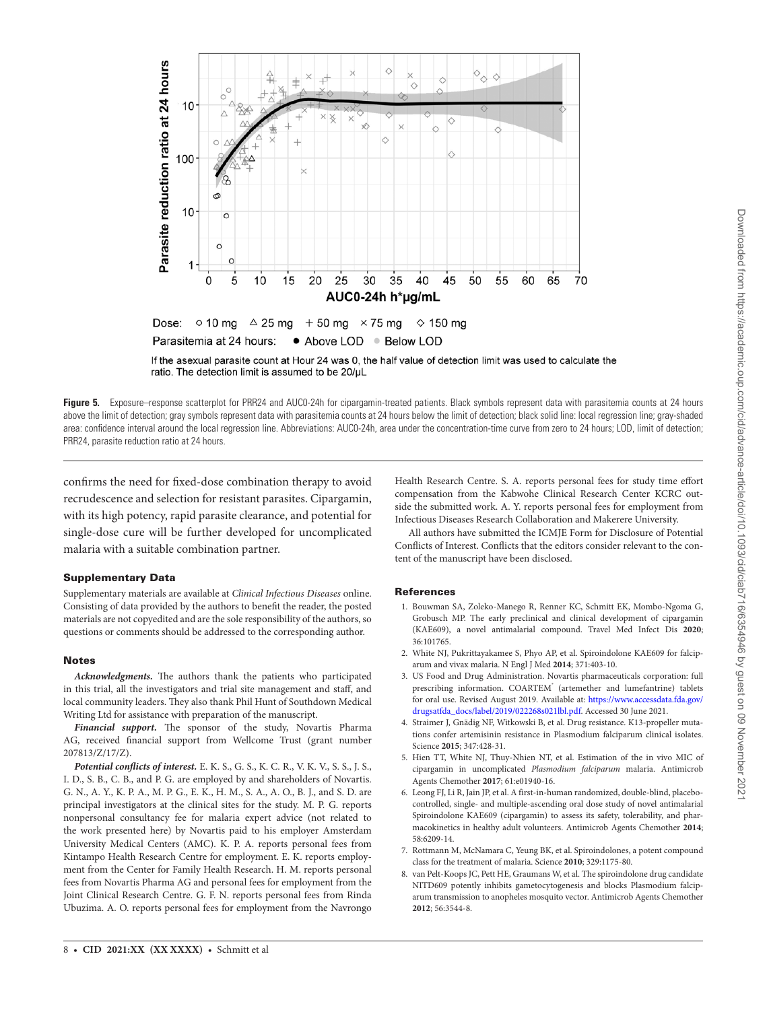

<span id="page-7-8"></span>If the asexual parasite count at Hour 24 was 0, the half value of detection limit was used to calculate the ratio. The detection limit is assumed to be 20/uL

Figure 5. Exposure–response scatterplot for PRR24 and AUC0-24h for cipargamin-treated patients. Black symbols represent data with parasitemia counts at 24 hours above the limit of detection; gray symbols represent data with parasitemia counts at 24 hours below the limit of detection; black solid line: local regression line; gray-shaded area: confidence interval around the local regression line. Abbreviations: AUC0-24h, area under the concentration-time curve from zero to 24 hours; LOD, limit of detection; PRR24, parasite reduction ratio at 24 hours.

confirms the need for fixed-dose combination therapy to avoid recrudescence and selection for resistant parasites. Cipargamin, with its high potency, rapid parasite clearance, and potential for single-dose cure will be further developed for uncomplicated malaria with a suitable combination partner.

#### Supplementary Data

Supplementary materials are available at *Clinical Infectious Diseases* online. Consisting of data provided by the authors to benefit the reader, the posted materials are not copyedited and are the sole responsibility of the authors, so questions or comments should be addressed to the corresponding author.

#### **Notes**

*Acknowledgments.* The authors thank the patients who participated in this trial, all the investigators and trial site management and staff, and local community leaders. They also thank Phil Hunt of Southdown Medical Writing Ltd for assistance with preparation of the manuscript.

*Financial support.* The sponsor of the study, Novartis Pharma AG, received financial support from Wellcome Trust (grant number 207813/Z/17/Z).

*Potential conflicts of interest.* E. K. S., G. S., K. C. R., V. K. V., S. S., J. S., I. D., S. B., C. B., and P. G. are employed by and shareholders of Novartis. G. N., A. Y., K. P. A., M. P. G., E. K., H. M., S. A., A. O., B. J., and S. D. are principal investigators at the clinical sites for the study. M. P. G. reports nonpersonal consultancy fee for malaria expert advice (not related to the work presented here) by Novartis paid to his employer Amsterdam University Medical Centers (AMC). K. P. A. reports personal fees from Kintampo Health Research Centre for employment. E. K. reports employment from the Center for Family Health Research. H. M. reports personal fees from Novartis Pharma AG and personal fees for employment from the Joint Clinical Research Centre. G. F. N. reports personal fees from Rinda Ubuzima. A. O. reports personal fees for employment from the Navrongo

Health Research Centre. S. A. reports personal fees for study time effort compensation from the Kabwohe Clinical Research Center KCRC outside the submitted work. A. Y. reports personal fees for employment from Infectious Diseases Research Collaboration and Makerere University.

 All authors have submitted the ICMJE Form for Disclosure of Potential Conflicts of Interest. Conflicts that the editors consider relevant to the content of the manuscript have been disclosed.

#### **References**

- <span id="page-7-0"></span>1. Bouwman SA, Zoleko-Manego R, Renner KC, Schmitt EK, Mombo-Ngoma G, Grobusch MP. The early preclinical and clinical development of cipargamin (KAE609), a novel antimalarial compound. Travel Med Infect Dis **2020**; 36:101765.
- <span id="page-7-1"></span>2. White NJ, Pukrittayakamee S, Phyo AP, et al. Spiroindolone KAE609 for falciparum and vivax malaria. N Engl J Med **2014**; 371:403-10.
- <span id="page-7-2"></span>3. US Food and Drug Administration. Novartis pharmaceuticals corporation: full prescribing information. COARTEM<sup>®</sup> (artemether and lumefantrine) tablets for oral use. Revised August 2019. Available at: [https://www.accessdata.fda.gov/](https://www.accessdata.fda.gov/drugsatfda_docs/label/2019/022268s021lbl.pdf) [drugsatfda\\_docs/label/2019/022268s021lbl.pdf](https://www.accessdata.fda.gov/drugsatfda_docs/label/2019/022268s021lbl.pdf). Accessed 30 June 2021.
- <span id="page-7-3"></span>4. Straimer J, Gnädig NF, Witkowski B, et al. Drug resistance. K13-propeller mutations confer artemisinin resistance in Plasmodium falciparum clinical isolates. Science **2015**; 347:428-31.
- <span id="page-7-4"></span>5. Hien TT, White NJ, Thuy-Nhien NT, et al. Estimation of the in vivo MIC of cipargamin in uncomplicated *Plasmodium falciparum* malaria. Antimicrob Agents Chemother **2017**; 61:e01940-16.
- <span id="page-7-5"></span>6. Leong FJ, Li R, Jain JP, et al. A first-in-human randomized, double-blind, placebocontrolled, single- and multiple-ascending oral dose study of novel antimalarial Spiroindolone KAE609 (cipargamin) to assess its safety, tolerability, and pharmacokinetics in healthy adult volunteers. Antimicrob Agents Chemother **2014**; 58:6209-14.
- <span id="page-7-6"></span>7. Rottmann M, McNamara C, Yeung BK, et al. Spiroindolones, a potent compound class for the treatment of malaria. Science **2010**; 329:1175-80.
- <span id="page-7-7"></span>8. van Pelt-Koops JC, Pett HE, Graumans W, et al. The spiroindolone drug candidate NITD609 potently inhibits gametocytogenesis and blocks Plasmodium falciparum transmission to anopheles mosquito vector. Antimicrob Agents Chemother **2012**; 56:3544-8.